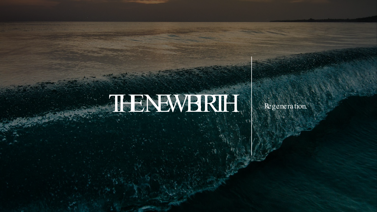# THENEWBRIHT Regeneration.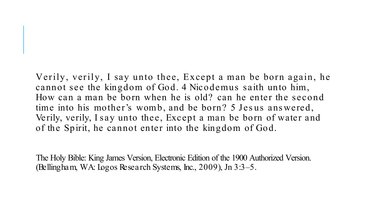Verily, verily, I say unto thee, Except a man be born again, he cannot see the kingdom of God. 4 Nicodemus saith unto him, How can a man be born when he is old? can he enter the second time into his mother's womb, and be born? 5 Jes us ans wered, Verily, verily, I say unto thee, Except a man be born of water and of the Spirit, he cannot enter into the kingdom of God.

The Holy Bible: King James Version, Electronic Edition of the 1900 Authorized Version. (Bellingham, WA: Logos Research Systems, Inc., 2009), Jn 3:3–5.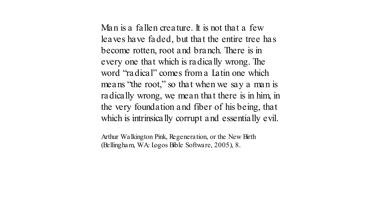Man is a fallen creature. It is not that a few leaves have faded, but that the entire tree has become rotten, root and branch. There is in every one that which is radically wrong. The word "radical" comes from a Latin one which means "the root," so that when we say a man is radically wrong, we mean that there is in him, in the very foundation and fiber of his being, that which is intrinsically corrupt and essentially evil.

Arthur Walkington Pink, Regeneration, or the New Birth (Bellingham, WA: Logos Bible Software, 2005), 8.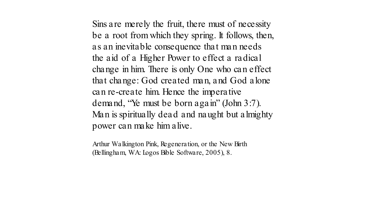Sins are merely the fruit, there must of necessity be a root from which they spring. It follows, then, as an inevitable consequence that man needs the aid of a Higher Power to effect a radical change in him. There is only One who can effect that change: God created man, and God alone can re-create him. Hence the imperative demand, "Ye must be born again" (John 3:7). Man is spiritually dead and naught but almighty power can make him alive.

Arthur Walkington Pink, Regeneration, or the New Birth (Bellingham, WA: Logos Bible Software, 2005), 8.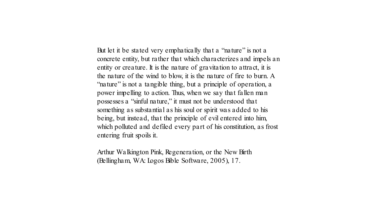But let it be stated very emphatically that a "nature" is not a concrete entity, but rather that which characterizes and impels an entity or creature. It is the nature of gravitation to attract, it is the nature of the wind to blow, it is the nature of fire to burn. A "nature" is not a tangible thing, but a principle of operation, a power impelling to action. Thus, when we say that fallen man possesses a "sinful nature," it must not be understood that something as substantial as his soul or spirit was added to his being, but instead, that the principle of evil entered into him, which polluted and defiled every part of his constitution, as frost entering fruit spoils it.

Arthur Walkington Pink, Regeneration, or the New Birth (Bellingham, WA: Logos Bible Software, 2005), 17.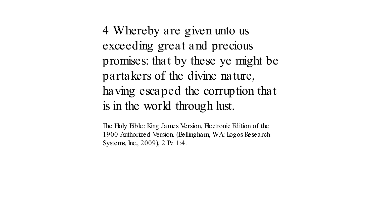4 Whereby are given unto us exceeding great and precious promises: that by these ye might be partakers of the divine nature, having escaped the corruption that is in the world through lust.

The Holy Bible: King James Version, Electronic Edition of the 1900 Authorized Version. (Bellingham, WA: Logos Research Systems, Inc., 2009), 2 Pe 1:4.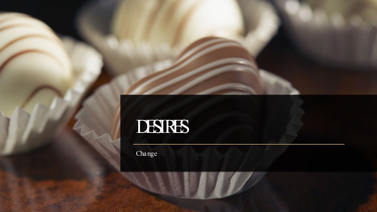

# DESIRES

Change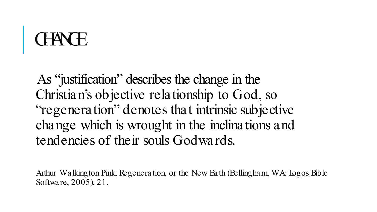## **CHAN** H

As "justification" describes the change in the Christian's objective relationship to God, so "regeneration" denotes that intrinsic subjective change which is wrought in the inclinations and tendencies of their souls Godwards.

Arthur Walkington Pink, Regeneration, or the New Birth (Bellingham, WA: Logos Bible Software, 2005), 21.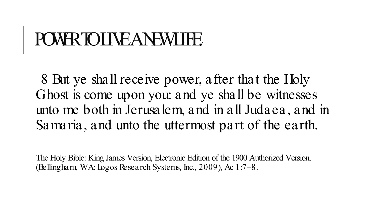## POWR TO LIVE ANEWLIFE.

8 But ye shall receive power, after that the Holy Ghost is come upon you: and ye shall be witnesses unto me both in Jerusalem, and in all Judaea, and in Samaria, and unto the uttermost part of the earth.

The Holy Bible: King James Version, Electronic Edition of the 1900 Authorized Version. (Bellingham, WA: Logos Research Systems, Inc., 2009), Ac 1:7–8.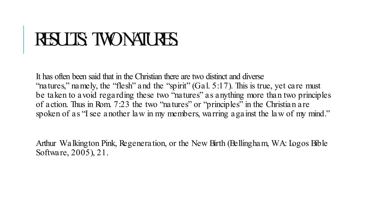## RESULTS: TWO NATURES.

It has often been said that in the Christian there are two distinct and diverse "natures," namely, the "flesh" and the "spirit" (Gal. 5:17). This is true, yet care must be taken to avoid regarding these two "natures" as anything more than two principles of action. Thus in Rom. 7:23 the two "natures" or "principles" in the Christian are spoken of as "I see another law in my members, warring against the law of my mind."

Arthur Walkington Pink, Regeneration, or the New Birth (Bellingham, WA: Logos Bible Software, 2005), 21.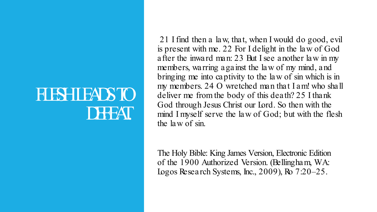#### **FLSHIEADS TO** DEFEAT.

21 I find then a law, that, when I would do good, evil is present with me. 22 For I delight in the law of God after the inward man: 23 But I see another law in my members, warring against the law of my mind, and bringing me into captivity to the law of sin which is in my members. 24 O wretched man that I am! who shall deliver me from the body of this death? 25 I thank God through Jesus Christ our Lord. So then with the mind I myself serve the law of God; but with the flesh the law of sin.

The Holy Bible: King James Version, Electronic Edition of the 1900 Authorized Version. (Bellingham, WA: Logos Research Systems, Inc., 2009), Ro 7:20–25.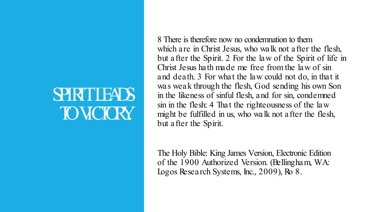#### **SPIRIT LEADS** TO VICIORY.

8 There is therefore now no condemnation to them which are in Christ Jesus, who walk not after the flesh, but after the Spirit. 2 For the law of the Spirit of life in Christ Jesus hath made me free from the law of sin and death. 3 For what the law could not do, in that it was weak through the flesh, God sending his own Son in the likeness of sinful flesh, and for sin, condemned sin in the flesh: 4 That the righteousness of the law might be fulfilled in us, who walk not after the flesh, but after the Spirit.

The Holy Bible: King James Version, Electronic Edition of the 1900 Authorized Version. (Bellingham, WA: Logos Research Systems, Inc., 2009), Ro 8.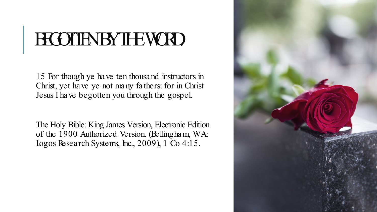## BEGOTTEN BY THE WORD.

15 For though ye have ten thousand instructors in Christ, yet have ye not many fathers: for in Christ Jesus I have begotten you through the gospel.

The Holy Bible: King James Version, Electronic Edition of the 1900 Authorized Version. (Bellingham, WA: Logos Research Systems, Inc., 2009), 1 Co 4:15.

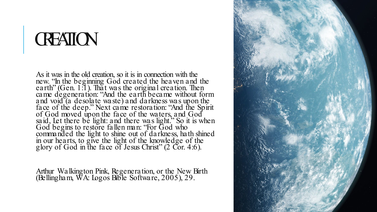#### **CREATION**

As it was in the old creation, so it is in connection with the new. "In the beginning God created the heaven and the earth" (Gen. 1:1). That was the original creation. Then came degeneration: "And the earth became without form and void (a desolate waste) and darkness was upon the face of the deep." Next came restoration: "And the Spirit of God moved upon the face of the waters, and God said, Let there be light: and there was light." So it is when God begins to restore fallen man: "For God who commanded the light to shine out of darkness, hath shined in our hearts, to give the light of the knowledge of the glory of God in the face of Jesus Christ" (2 Cor. 4:6).

Arthur Walkington Pink, Regeneration, or the New Birth (Bellingham, WA: Logos Bible Software, 2005), 29.

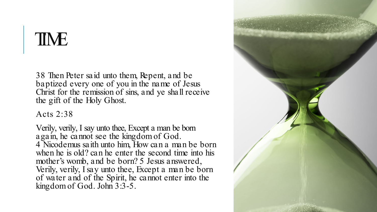#### TIME

38 Then Peter said unto them, Repent, and be baptized every one of you in the name of Jesus Christ for the remission of sins, and ye shall receive the gift of the Holy Ghost.

Acts 2:38

Verily, verily, I say unto thee, Except a man be born again, he cannot see the kingdom of God. 4 Nicodemus saith unto him, How can a man be born when he is old? can he enter the second time into his mother's womb, and be born? 5 Jesus answered, Verily, verily, I say unto thee, Except a man be born of water and of the Spirit, he cannot enter into the kingdom of God. John 3:3-5.